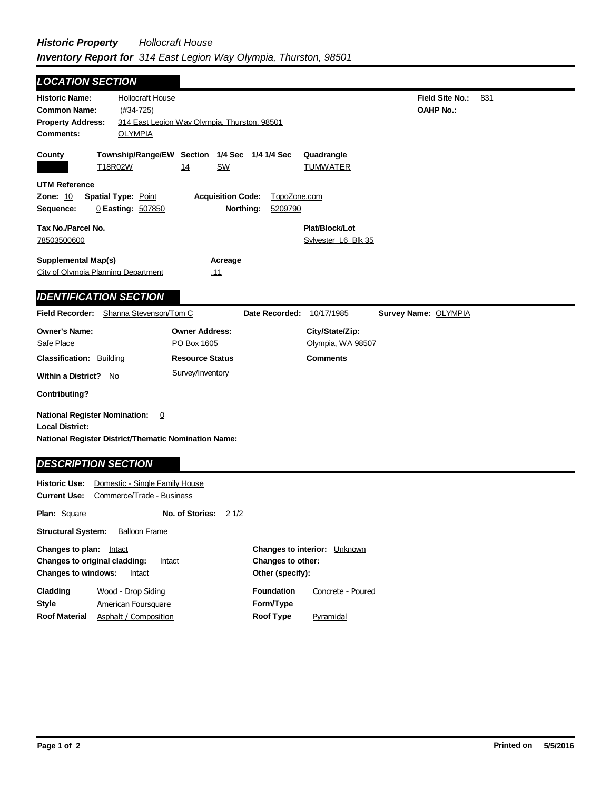Field Site No.: 831 **OAHP No.:** Historic Name: Hollocraft House **Common Name:** (#34-725) **County Plat/Block/Lot** Sylvester L6 Blk 35 **Acreage** .11 **Supplemental Map(s)** City of Olympia Planning Department **Tax No./Parcel No.** 78503500600 **Property Address:** 314 East Legion Way Olympia, Thurston, 98501 *LOCATION SECTION* **Comments:** OLYMPIA **Quadrangle UTM Reference Township/Range/EW Section 1/4 Sec 1/4 1/4 Sec Owner Address:** PO Box 1605 **Field Recorder:** Shanna Stevenson/Tom C **Owner's Name: Safe Place City/State/Zip:** Olympia, WA 98507 **National Register District/Thematic Nomination Name: Local District: Date Recorded:** 10/17/1985 **Classification:** Building **Within a District?** No **Contributing? Comments National Register Nomination:** 0 **Plan:** Square **Historic Use:** Domestic - Single Family House **Current Use:** Commerce/Trade - Business **Structural System:** Balloon Frame **No. of Stories:** 21/2 **Resource Status Survey Name:** OLYMPIA *IDENTIFICATION SECTION DESCRIPTION SECTION* T18R02W 14 SW TUMWATER **Zone:** 10 **Spatial Type:** Point **Acquisition Code:** TopoZone.com **Sequence:** 0 **Easting:** 507850 **Northing:** 5209790 Survey/Inventory

| <b>Changes to interior:</b> Unknown |                   |
|-------------------------------------|-------------------|
| Changes to other:                   |                   |
| Other (specify):                    |                   |
| <b>Foundation</b>                   | Concrete - Poured |
| Form/Type                           |                   |
| Roof Type                           | Pyramidal         |
|                                     |                   |